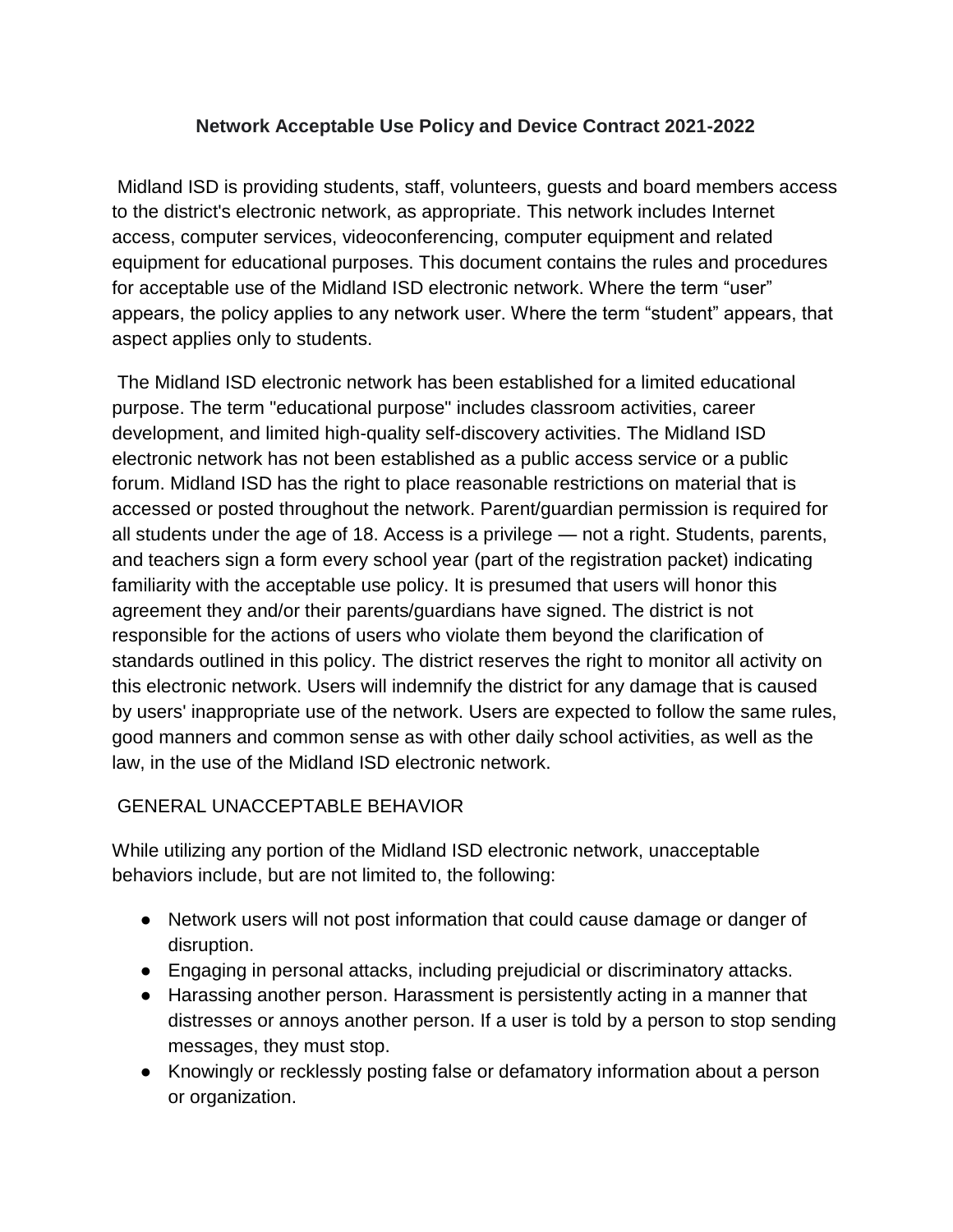## **Network Acceptable Use Policy and Device Contract 2021-2022**

Midland ISD is providing students, staff, volunteers, guests and board members access to the district's electronic network, as appropriate. This network includes Internet access, computer services, videoconferencing, computer equipment and related equipment for educational purposes. This document contains the rules and procedures for acceptable use of the Midland ISD electronic network. Where the term "user" appears, the policy applies to any network user. Where the term "student" appears, that aspect applies only to students.

The Midland ISD electronic network has been established for a limited educational purpose. The term "educational purpose" includes classroom activities, career development, and limited high-quality self-discovery activities. The Midland ISD electronic network has not been established as a public access service or a public forum. Midland ISD has the right to place reasonable restrictions on material that is accessed or posted throughout the network. Parent/guardian permission is required for all students under the age of 18. Access is a privilege — not a right. Students, parents, and teachers sign a form every school year (part of the registration packet) indicating familiarity with the acceptable use policy. It is presumed that users will honor this agreement they and/or their parents/guardians have signed. The district is not responsible for the actions of users who violate them beyond the clarification of standards outlined in this policy. The district reserves the right to monitor all activity on this electronic network. Users will indemnify the district for any damage that is caused by users' inappropriate use of the network. Users are expected to follow the same rules, good manners and common sense as with other daily school activities, as well as the law, in the use of the Midland ISD electronic network.

# GENERAL UNACCEPTABLE BEHAVIOR

While utilizing any portion of the Midland ISD electronic network, unacceptable behaviors include, but are not limited to, the following:

- Network users will not post information that could cause damage or danger of disruption.
- Engaging in personal attacks, including prejudicial or discriminatory attacks.
- Harassing another person. Harassment is persistently acting in a manner that distresses or annoys another person. If a user is told by a person to stop sending messages, they must stop.
- Knowingly or recklessly posting false or defamatory information about a person or organization.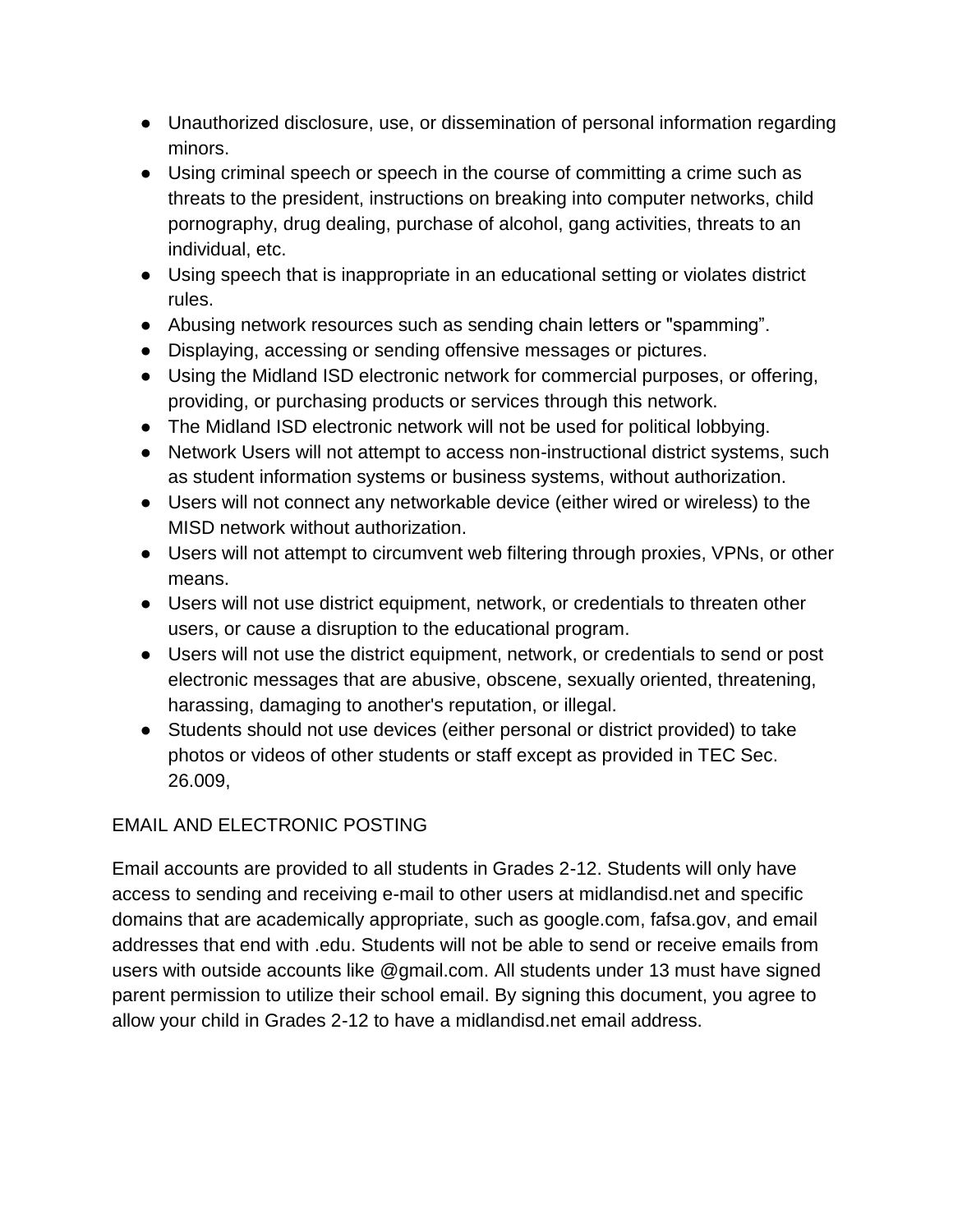- Unauthorized disclosure, use, or dissemination of personal information regarding minors.
- Using criminal speech or speech in the course of committing a crime such as threats to the president, instructions on breaking into computer networks, child pornography, drug dealing, purchase of alcohol, gang activities, threats to an individual, etc.
- Using speech that is inappropriate in an educational setting or violates district rules.
- Abusing network resources such as sending chain letters or "spamming".
- Displaying, accessing or sending offensive messages or pictures.
- Using the Midland ISD electronic network for commercial purposes, or offering, providing, or purchasing products or services through this network.
- The Midland ISD electronic network will not be used for political lobbying.
- Network Users will not attempt to access non-instructional district systems, such as student information systems or business systems, without authorization.
- Users will not connect any networkable device (either wired or wireless) to the MISD network without authorization.
- Users will not attempt to circumvent web filtering through proxies, VPNs, or other means.
- Users will not use district equipment, network, or credentials to threaten other users, or cause a disruption to the educational program.
- Users will not use the district equipment, network, or credentials to send or post electronic messages that are abusive, obscene, sexually oriented, threatening, harassing, damaging to another's reputation, or illegal.
- Students should not use devices (either personal or district provided) to take photos or videos of other students or staff except as provided in TEC Sec. 26.009,

# EMAIL AND ELECTRONIC POSTING

Email accounts are provided to all students in Grades 2-12. Students will only have access to sending and receiving e-mail to other users at midlandisd.net and specific domains that are academically appropriate, such as google.com, fafsa.gov, and email addresses that end with .edu. Students will not be able to send or receive emails from users with outside accounts like @gmail.com. All students under 13 must have signed parent permission to utilize their school email. By signing this document, you agree to allow your child in Grades 2-12 to have a midlandisd.net email address.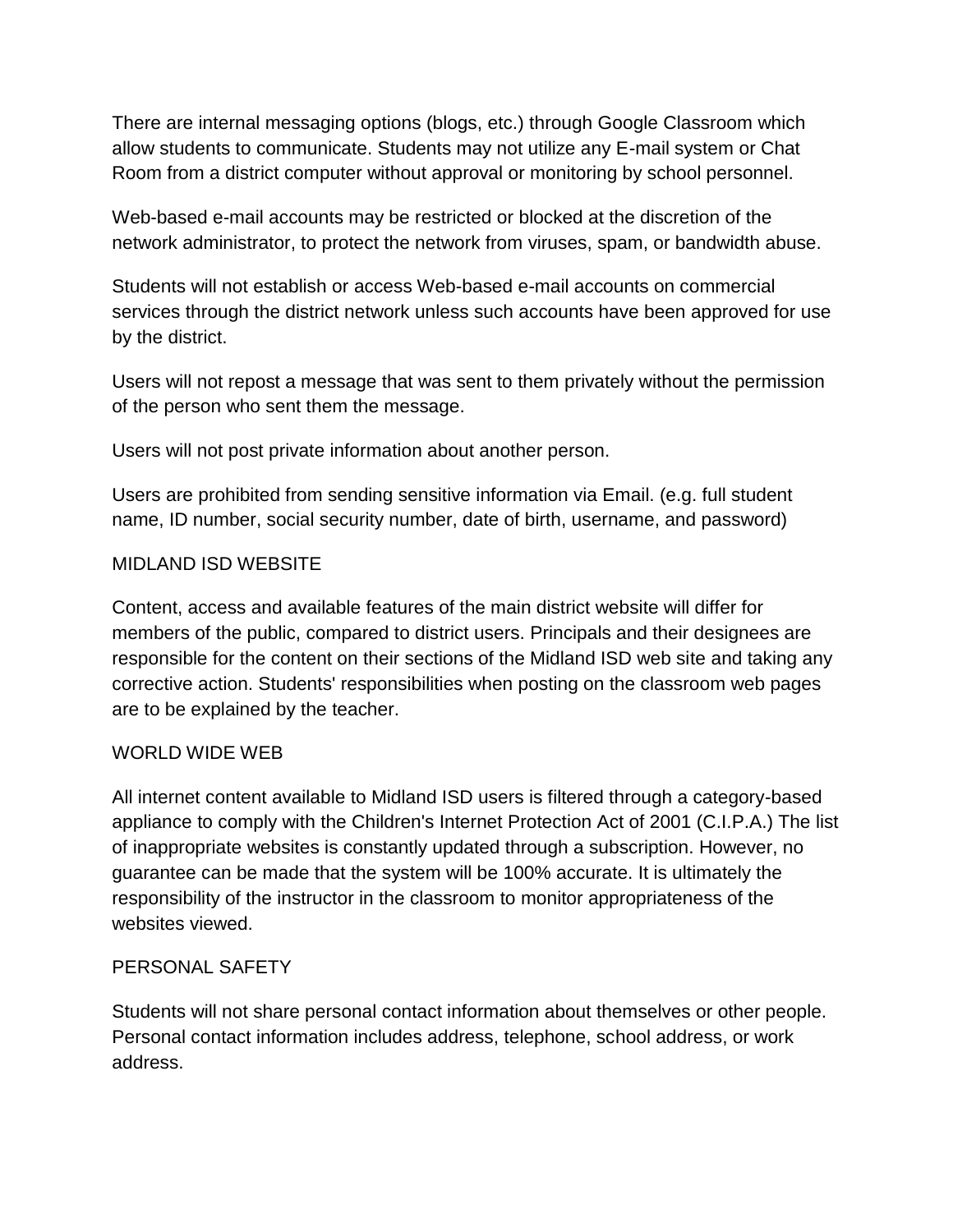There are internal messaging options (blogs, etc.) through Google Classroom which allow students to communicate. Students may not utilize any E-mail system or Chat Room from a district computer without approval or monitoring by school personnel.

Web-based e-mail accounts may be restricted or blocked at the discretion of the network administrator, to protect the network from viruses, spam, or bandwidth abuse.

Students will not establish or access Web-based e-mail accounts on commercial services through the district network unless such accounts have been approved for use by the district.

Users will not repost a message that was sent to them privately without the permission of the person who sent them the message.

Users will not post private information about another person.

Users are prohibited from sending sensitive information via Email. (e.g. full student name, ID number, social security number, date of birth, username, and password)

#### MIDLAND ISD WEBSITE

Content, access and available features of the main district website will differ for members of the public, compared to district users. Principals and their designees are responsible for the content on their sections of the Midland ISD web site and taking any corrective action. Students' responsibilities when posting on the classroom web pages are to be explained by the teacher.

#### WORLD WIDE WEB

All internet content available to Midland ISD users is filtered through a category-based appliance to comply with the Children's Internet Protection Act of 2001 (C.I.P.A.) The list of inappropriate websites is constantly updated through a subscription. However, no guarantee can be made that the system will be 100% accurate. It is ultimately the responsibility of the instructor in the classroom to monitor appropriateness of the websites viewed.

#### PERSONAL SAFETY

Students will not share personal contact information about themselves or other people. Personal contact information includes address, telephone, school address, or work address.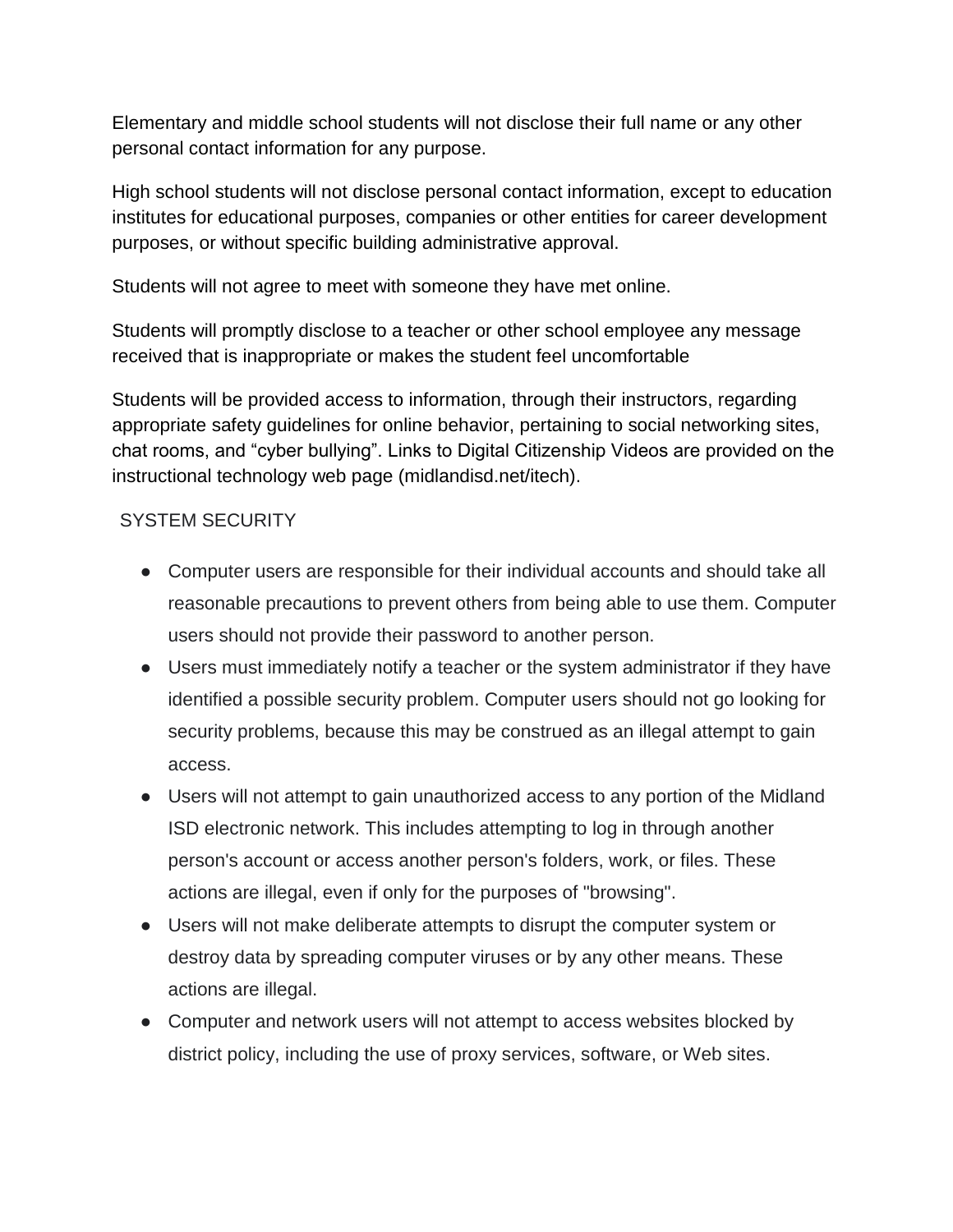Elementary and middle school students will not disclose their full name or any other personal contact information for any purpose.

High school students will not disclose personal contact information, except to education institutes for educational purposes, companies or other entities for career development purposes, or without specific building administrative approval.

Students will not agree to meet with someone they have met online.

Students will promptly disclose to a teacher or other school employee any message received that is inappropriate or makes the student feel uncomfortable

Students will be provided access to information, through their instructors, regarding appropriate safety guidelines for online behavior, pertaining to social networking sites, chat rooms, and "cyber bullying". Links to Digital Citizenship Videos are provided on the instructional technology web page (midlandisd.net/itech).

## SYSTEM SECURITY

- Computer users are responsible for their individual accounts and should take all reasonable precautions to prevent others from being able to use them. Computer users should not provide their password to another person.
- Users must immediately notify a teacher or the system administrator if they have identified a possible security problem. Computer users should not go looking for security problems, because this may be construed as an illegal attempt to gain access.
- Users will not attempt to gain unauthorized access to any portion of the Midland ISD electronic network. This includes attempting to log in through another person's account or access another person's folders, work, or files. These actions are illegal, even if only for the purposes of "browsing".
- Users will not make deliberate attempts to disrupt the computer system or destroy data by spreading computer viruses or by any other means. These actions are illegal.
- Computer and network users will not attempt to access websites blocked by district policy, including the use of proxy services, software, or Web sites.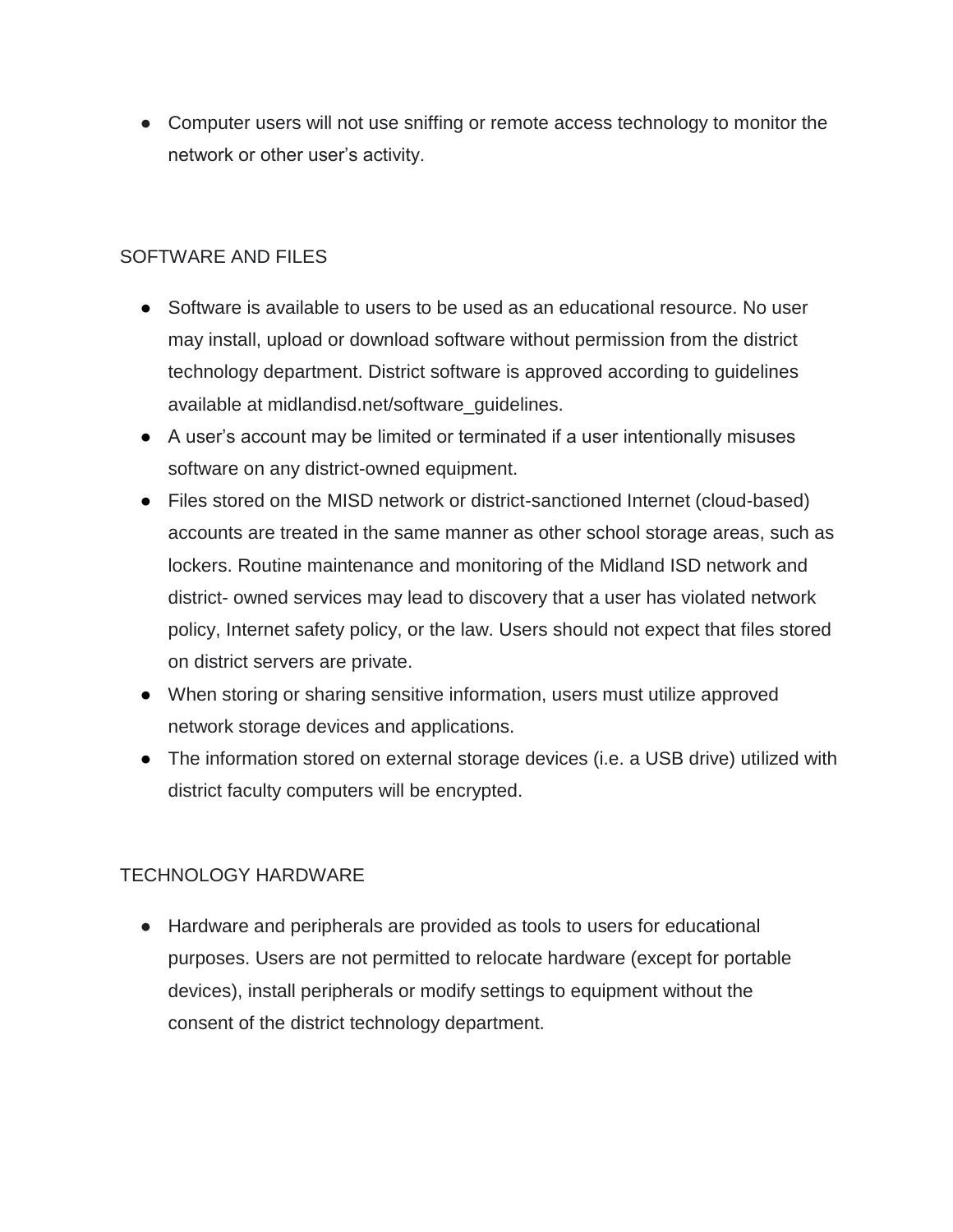● Computer users will not use sniffing or remote access technology to monitor the network or other user's activity.

## SOFTWARE AND FILES

- Software is available to users to be used as an educational resource. No user may install, upload or download software without permission from the district technology department. District software is approved according to guidelines available at midlandisd.net/software\_guidelines.
- A user's account may be limited or terminated if a user intentionally misuses software on any district-owned equipment.
- Files stored on the MISD network or district-sanctioned Internet (cloud-based) accounts are treated in the same manner as other school storage areas, such as lockers. Routine maintenance and monitoring of the Midland ISD network and district- owned services may lead to discovery that a user has violated network policy, Internet safety policy, or the law. Users should not expect that files stored on district servers are private.
- When storing or sharing sensitive information, users must utilize approved network storage devices and applications.
- The information stored on external storage devices (i.e. a USB drive) utilized with district faculty computers will be encrypted.

# TECHNOLOGY HARDWARE

● Hardware and peripherals are provided as tools to users for educational purposes. Users are not permitted to relocate hardware (except for portable devices), install peripherals or modify settings to equipment without the consent of the district technology department.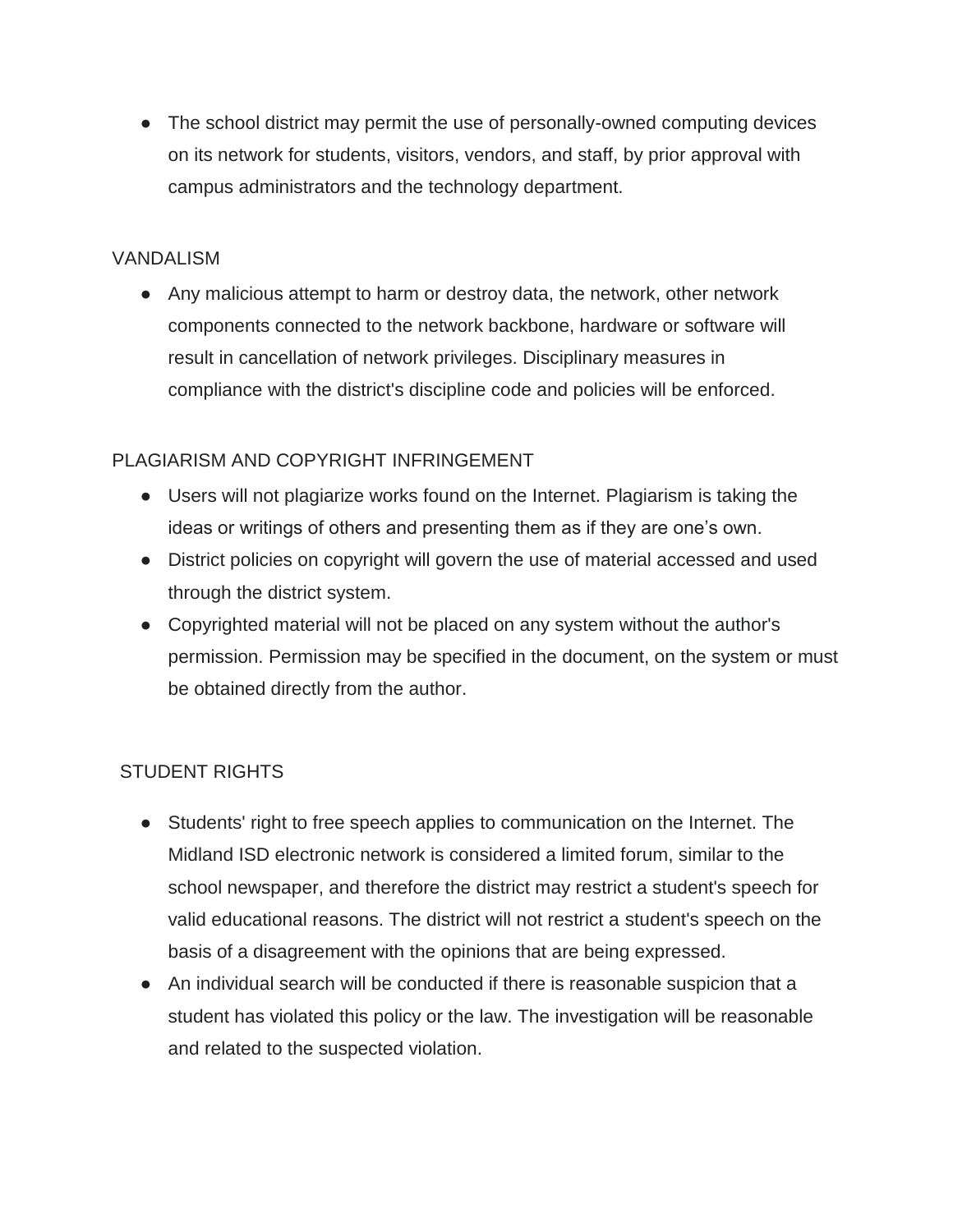• The school district may permit the use of personally-owned computing devices on its network for students, visitors, vendors, and staff, by prior approval with campus administrators and the technology department.

## VANDALISM

● Any malicious attempt to harm or destroy data, the network, other network components connected to the network backbone, hardware or software will result in cancellation of network privileges. Disciplinary measures in compliance with the district's discipline code and policies will be enforced.

# PLAGIARISM AND COPYRIGHT INFRINGEMENT

- Users will not plagiarize works found on the Internet. Plagiarism is taking the ideas or writings of others and presenting them as if they are one's own.
- District policies on copyright will govern the use of material accessed and used through the district system.
- Copyrighted material will not be placed on any system without the author's permission. Permission may be specified in the document, on the system or must be obtained directly from the author.

# STUDENT RIGHTS

- Students' right to free speech applies to communication on the Internet. The Midland ISD electronic network is considered a limited forum, similar to the school newspaper, and therefore the district may restrict a student's speech for valid educational reasons. The district will not restrict a student's speech on the basis of a disagreement with the opinions that are being expressed.
- An individual search will be conducted if there is reasonable suspicion that a student has violated this policy or the law. The investigation will be reasonable and related to the suspected violation.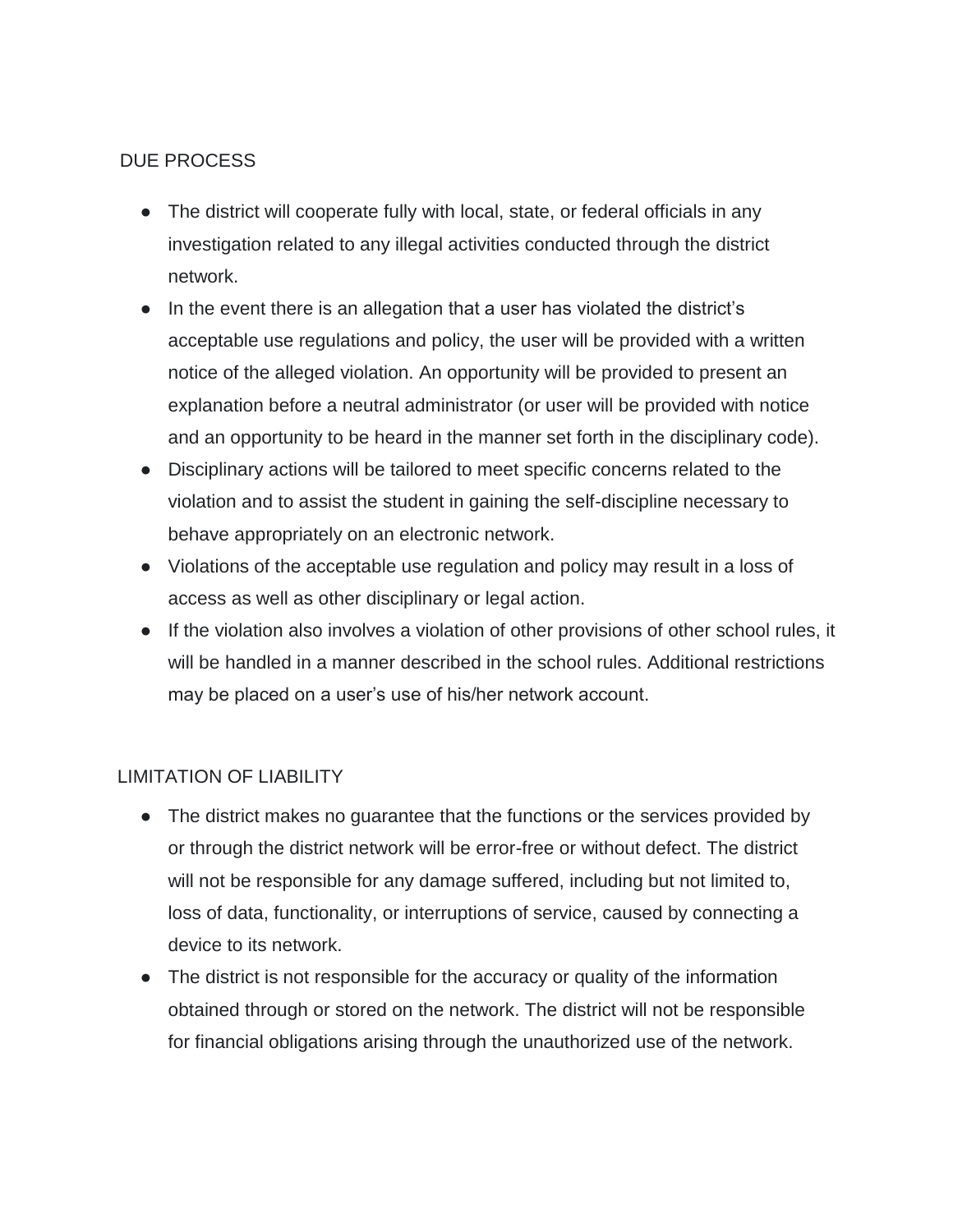## DUE PROCESS

- The district will cooperate fully with local, state, or federal officials in any investigation related to any illegal activities conducted through the district network.
- In the event there is an allegation that a user has violated the district's acceptable use regulations and policy, the user will be provided with a written notice of the alleged violation. An opportunity will be provided to present an explanation before a neutral administrator (or user will be provided with notice and an opportunity to be heard in the manner set forth in the disciplinary code).
- Disciplinary actions will be tailored to meet specific concerns related to the violation and to assist the student in gaining the self-discipline necessary to behave appropriately on an electronic network.
- Violations of the acceptable use regulation and policy may result in a loss of access as well as other disciplinary or legal action.
- If the violation also involves a violation of other provisions of other school rules, it will be handled in a manner described in the school rules. Additional restrictions may be placed on a user's use of his/her network account.

#### LIMITATION OF LIABILITY

- The district makes no guarantee that the functions or the services provided by or through the district network will be error-free or without defect. The district will not be responsible for any damage suffered, including but not limited to, loss of data, functionality, or interruptions of service, caused by connecting a device to its network.
- The district is not responsible for the accuracy or quality of the information obtained through or stored on the network. The district will not be responsible for financial obligations arising through the unauthorized use of the network.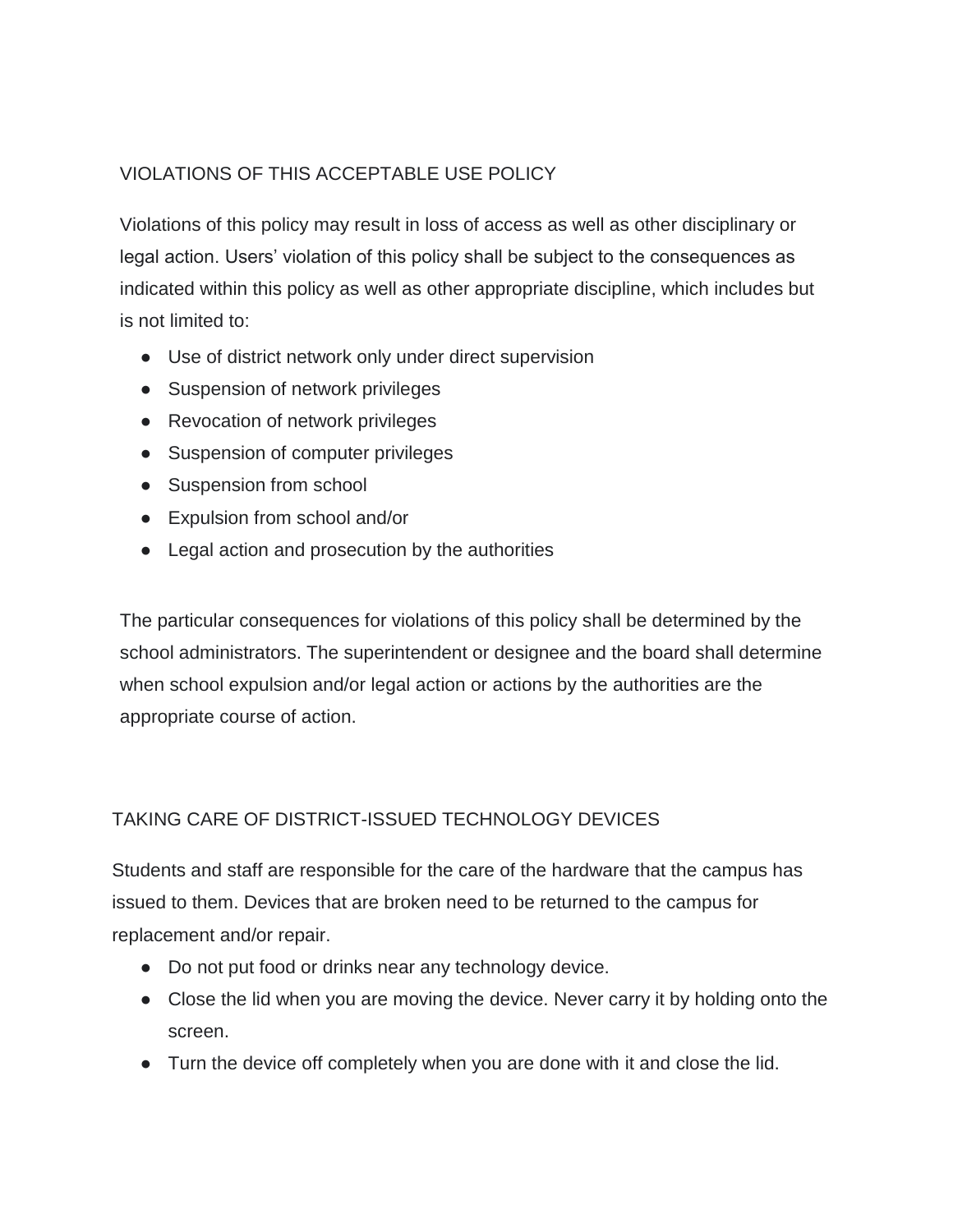# VIOLATIONS OF THIS ACCEPTABLE USE POLICY

Violations of this policy may result in loss of access as well as other disciplinary or legal action. Users' violation of this policy shall be subject to the consequences as indicated within this policy as well as other appropriate discipline, which includes but is not limited to:

- Use of district network only under direct supervision
- Suspension of network privileges
- Revocation of network privileges
- Suspension of computer privileges
- Suspension from school
- Expulsion from school and/or
- Legal action and prosecution by the authorities

The particular consequences for violations of this policy shall be determined by the school administrators. The superintendent or designee and the board shall determine when school expulsion and/or legal action or actions by the authorities are the appropriate course of action.

#### TAKING CARE OF DISTRICT-ISSUED TECHNOLOGY DEVICES

Students and staff are responsible for the care of the hardware that the campus has issued to them. Devices that are broken need to be returned to the campus for replacement and/or repair.

- Do not put food or drinks near any technology device.
- Close the lid when you are moving the device. Never carry it by holding onto the screen.
- Turn the device off completely when you are done with it and close the lid.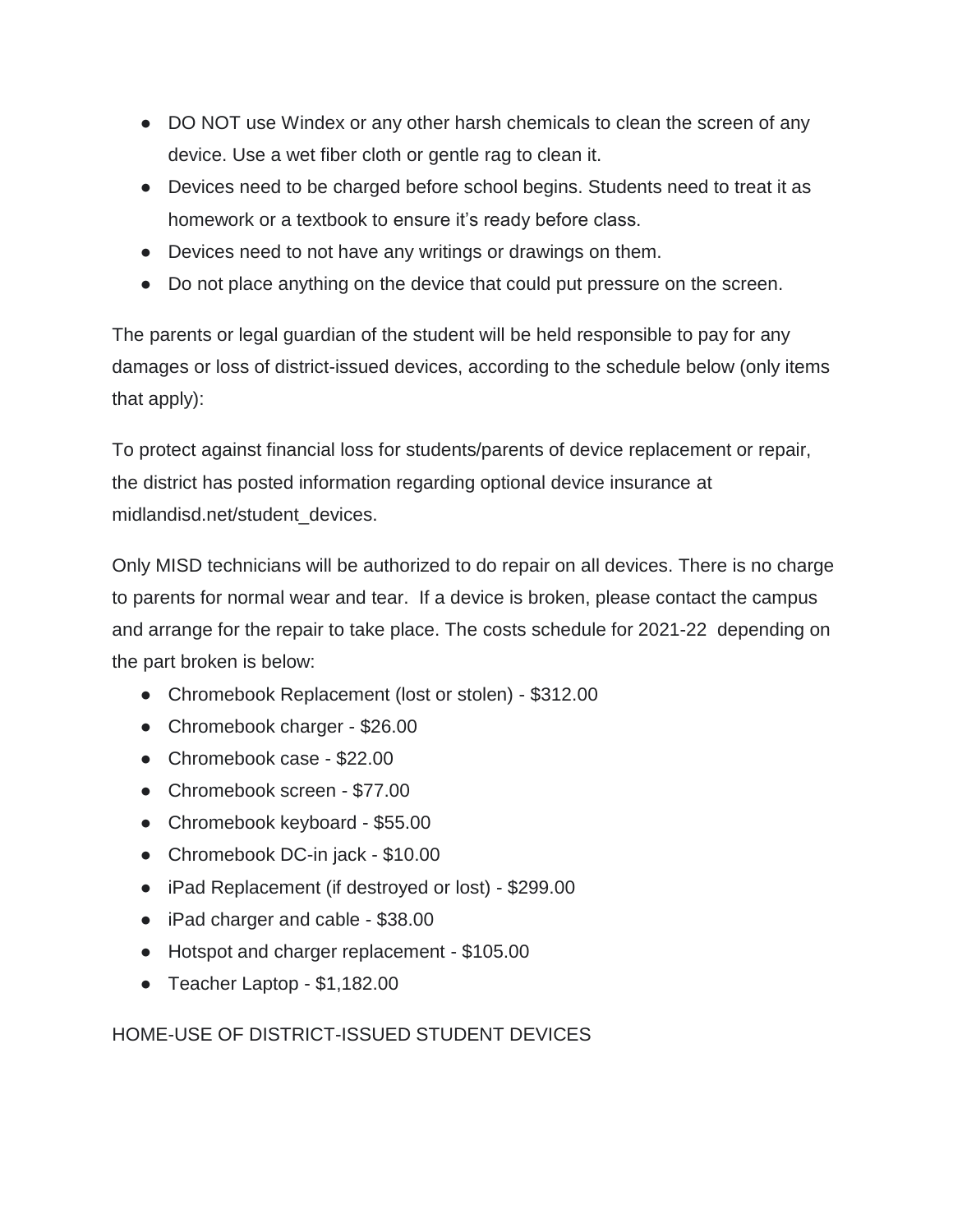- DO NOT use Windex or any other harsh chemicals to clean the screen of any device. Use a wet fiber cloth or gentle rag to clean it.
- Devices need to be charged before school begins. Students need to treat it as homework or a textbook to ensure it's ready before class.
- Devices need to not have any writings or drawings on them.
- Do not place anything on the device that could put pressure on the screen.

The parents or legal guardian of the student will be held responsible to pay for any damages or loss of district-issued devices, according to the schedule below (only items that apply):

To protect against financial loss for students/parents of device replacement or repair, the district has posted information regarding optional device insurance at midlandisd.net/student\_devices.

Only MISD technicians will be authorized to do repair on all devices. There is no charge to parents for normal wear and tear. If a device is broken, please contact the campus and arrange for the repair to take place. The costs schedule for 2021-22 depending on the part broken is below:

- Chromebook Replacement (lost or stolen) \$312.00
- Chromebook charger \$26.00
- Chromebook case \$22.00
- Chromebook screen \$77.00
- Chromebook keyboard \$55.00
- Chromebook DC-in jack \$10.00
- iPad Replacement (if destroyed or lost) \$299.00
- iPad charger and cable \$38.00
- Hotspot and charger replacement \$105.00
- Teacher Laptop \$1,182.00

HOME-USE OF DISTRICT-ISSUED STUDENT DEVICES